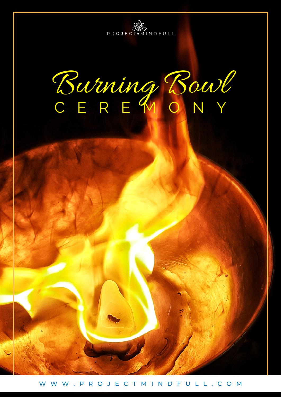

Burning Bowl C E R E M O N Y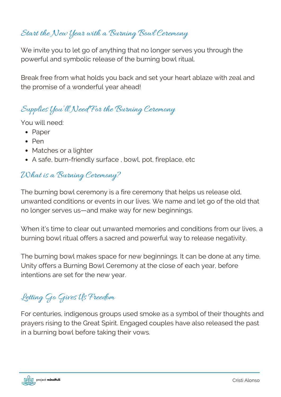# Start the New Year with a Burning Bowl Ceremony

We invite you to let go of anything that no longer serves you through the powerful and symbolic release of the burning bowl ritual.

Break free from what holds you back and set your heart ablaze with zeal and the promise of a wonderful year ahead!

### Supplies You'll Need For the Burning Ceremony

You will need:

- Paper
- $\bullet$  Pen
- Matches or a lighter
- A safe, burn-friendly surface , bowl, pot, fireplace, etc

#### What is a Burning Ceremony?

The burning bowl ceremony is a fire ceremony that helps us release old, unwanted conditions or events in our lives. We name and let go of the old that no longer serves us—and make way for new beginnings.

When it's time to clear out unwanted memories and conditions from our lives, a burning bowl ritual offers a sacred and powerful way to release negativity.

The burning bowl makes space for new beginnings. It can be done at any time. Unity offers a Burning Bowl Ceremony at the close of each year, before intentions are set for the new year.

# Letting Go Gives Us Freedom

For centuries, indigenous groups used smoke as a symbol of their thoughts and prayers rising to the Great Spirit. Engaged couples have also released the past in a burning bowl before taking their vows.

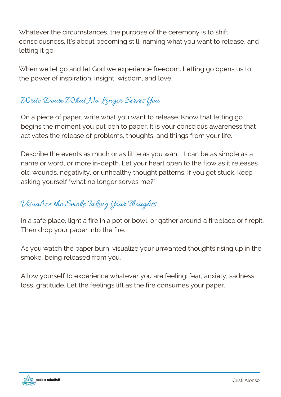Whatever the circumstances, the purpose of the ceremony is to shift consciousness. It's about becoming still, naming what you want to release, and letting it go.

When we let go and let God we experience freedom. Letting go opens us to the power of inspiration, insight, wisdom, and love.

## Write Down What No Longer Serves You

On a piece of paper, write what you want to release. Know that letting go begins the moment you put pen to paper. It is your conscious awareness that activates the release of problems, thoughts, and things from your life.

Describe the events as much or as little as you want. It can be as simple as a name or word, or more in-depth. Let your heart open to the flow as it releases old wounds, negativity, or unhealthy thought patterns. If you get stuck, keep asking yourself "what no longer serves me?"

# Visualize the Smoke Taking Your Thoughts

In a safe place, light a fire in a pot or bowl, or gather around a fireplace or firepit. Then drop your paper into the fire.

As you watch the paper burn, visualize your unwanted thoughts rising up in the smoke, being released from you.

Allow yourself to experience whatever you are feeling: fear, anxiety, sadness, loss, gratitude. Let the feelings lift as the fire consumes your paper.